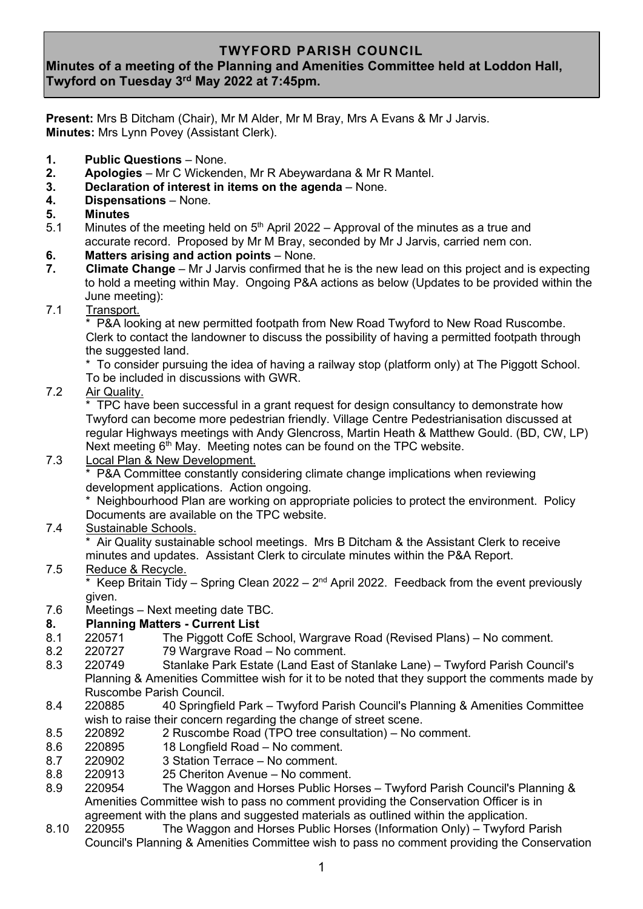# **TWYFORD PARISH COUNCIL**

# **Minutes of a meeting of the Planning and Amenities Committee held at Loddon Hall, Twyford on Tuesday 3 rd May 2022 at 7:45pm.**

**Present:** Mrs B Ditcham (Chair), Mr M Alder, Mr M Bray, Mrs A Evans & Mr J Jarvis. **Minutes:** Mrs Lynn Povey (Assistant Clerk).

- **1. Public Questions** None.
- **2. Apologies** Mr C Wickenden, Mr R Abeywardana & Mr R Mantel.
- **3. Declaration of interest in items on the agenda** None.
- **4. Dispensations** None.
- **5. Minutes**
- 5.1 Minutes of the meeting held on  $5<sup>th</sup>$  April 2022 Approval of the minutes as a true and accurate record. Proposed by Mr M Bray, seconded by Mr J Jarvis, carried nem con.
- **6. Matters arising and action points** None.
- **7. Climate Change** Mr J Jarvis confirmed that he is the new lead on this project and is expecting to hold a meeting within May. Ongoing P&A actions as below (Updates to be provided within the June meeting):
- 7.1 Transport.

P&A looking at new permitted footpath from New Road Twyford to New Road Ruscombe. Clerk to contact the landowner to discuss the possibility of having a permitted footpath through the suggested land.

 \* To consider pursuing the idea of having a railway stop (platform only) at The Piggott School. To be included in discussions with GWR.

7.2 Air Quality.

TPC have been successful in a grant request for design consultancy to demonstrate how Twyford can become more pedestrian friendly. Village Centre Pedestrianisation discussed at regular Highways meetings with Andy Glencross, Martin Heath & Matthew Gould. (BD, CW, LP) Next meeting  $6<sup>th</sup>$  May. Meeting notes can be found on the TPC website.

7.3 Local Plan & New Development.

P&A Committee constantly considering climate change implications when reviewing development applications. Action ongoing.

 \* Neighbourhood Plan are working on appropriate policies to protect the environment. Policy Documents are available on the TPC website.

7.4 Sustainable Schools.

Air Quality sustainable school meetings. Mrs B Ditcham & the Assistant Clerk to receive minutes and updates. Assistant Clerk to circulate minutes within the P&A Report.

7.5 Reduce & Recycle.

\* Keep Britain Tidy – Spring Clean 2022 –  $2<sup>nd</sup>$  April 2022. Feedback from the event previously

given.<br>7.6 Meetir Meetings – Next meeting date TBC.

## **8. Planning Matters - Current List**

- 8.1 220571 The Piggott CofE School, Wargrave Road (Revised Plans) No comment.
- 8.2 220727 79 Wargrave Road No comment.
- 8.3 220749 Stanlake Park Estate (Land East of Stanlake Lane) Twyford Parish Council's Planning & Amenities Committee wish for it to be noted that they support the comments made by Ruscombe Parish Council.
- 8.4 220885 40 Springfield Park Twyford Parish Council's Planning & Amenities Committee wish to raise their concern regarding the change of street scene.
- 8.5 220892 2 Ruscombe Road (TPO tree consultation) No comment.
- 8.6 220895 18 Longfield Road No comment.
- 8.7 220902 3 Station Terrace No comment.
- 8.8 220913 25 Cheriton Avenue No comment.
- 8.9 220954 The Waggon and Horses Public Horses Twyford Parish Council's Planning & Amenities Committee wish to pass no comment providing the Conservation Officer is in agreement with the plans and suggested materials as outlined within the application.
- 8.10 220955 The Waggon and Horses Public Horses (Information Only) Twyford Parish Council's Planning & Amenities Committee wish to pass no comment providing the Conservation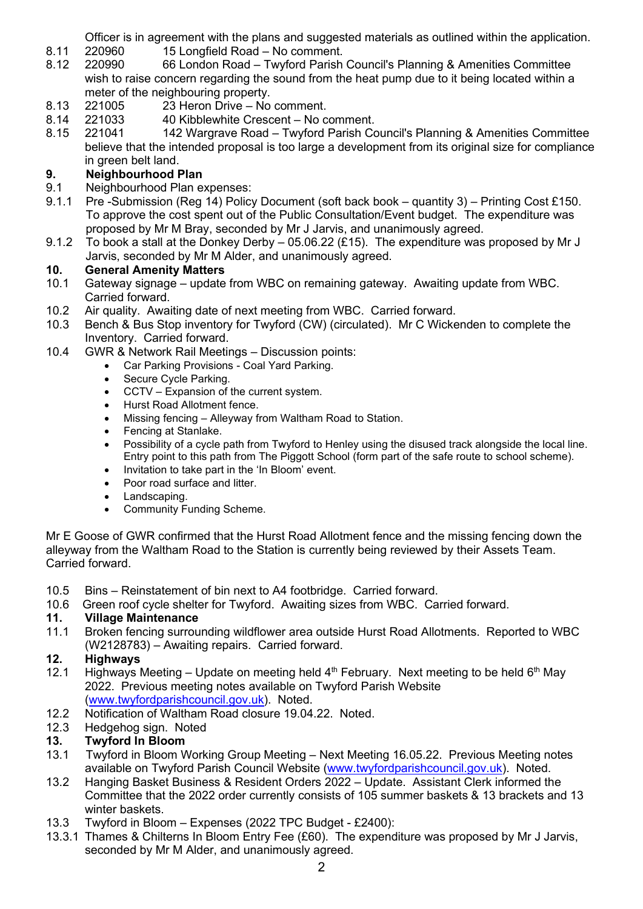Officer is in agreement with the plans and suggested materials as outlined within the application.

- 8.11 220960 15 Longfield Road No comment.
- 8.12 220990 66 London Road Twyford Parish Council's Planning & Amenities Committee wish to raise concern regarding the sound from the heat pump due to it being located within a meter of the neighbouring property.
- 8.13 221005 23 Heron Drive No comment.
- 8.14 221033 40 Kibblewhite Crescent No comment.
- 8.15 221041 142 Wargrave Road Twyford Parish Council's Planning & Amenities Committee believe that the intended proposal is too large a development from its original size for compliance in green belt land.

# **9.** Neighbourhood Plan<br>
9.1 Neighbourhood Plan ex

- Neighbourhood Plan expenses:
- 9.1.1 Pre -Submission (Reg 14) Policy Document (soft back book quantity 3) Printing Cost £150. To approve the cost spent out of the Public Consultation/Event budget. The expenditure was proposed by Mr M Bray, seconded by Mr J Jarvis, and unanimously agreed.
- 9.1.2 To book a stall at the Donkey Derby 05.06.22 (£15). The expenditure was proposed by Mr J Jarvis, seconded by Mr M Alder, and unanimously agreed.

# **10. General Amenity Matters**

- 10.1 Gateway signage update from WBC on remaining gateway. Awaiting update from WBC. Carried forward.
- 10.2 Air quality. Awaiting date of next meeting from WBC. Carried forward.
- 10.3 Bench & Bus Stop inventory for Twyford (CW) (circulated). Mr C Wickenden to complete the Inventory. Carried forward.
- 10.4 GWR & Network Rail Meetings Discussion points:
	- Car Parking Provisions Coal Yard Parking.
	- Secure Cycle Parking.
	- CCTV Expansion of the current system.
	- Hurst Road Allotment fence.
	- Missing fencing Alleyway from Waltham Road to Station.
	- Fencing at Stanlake.
	- Possibility of a cycle path from Twyford to Henley using the disused track alongside the local line. Entry point to this path from The Piggott School (form part of the safe route to school scheme).
	- Invitation to take part in the 'In Bloom' event.
	- Poor road surface and litter
	- Landscaping.
	- Community Funding Scheme.

Mr E Goose of GWR confirmed that the Hurst Road Allotment fence and the missing fencing down the alleyway from the Waltham Road to the Station is currently being reviewed by their Assets Team. Carried forward.

- 10.5 Bins Reinstatement of bin next to A4 footbridge. Carried forward.
- 10.6 Green roof cycle shelter for Twyford. Awaiting sizes from WBC. Carried forward.

## **11. Village Maintenance**

11.1 Broken fencing surrounding wildflower area outside Hurst Road Allotments. Reported to WBC (W2128783) – Awaiting repairs. Carried forward.

## **12. Highways**

- 12.1 Highways Meeting Update on meeting held  $4<sup>th</sup>$  February. Next meeting to be held  $6<sup>th</sup>$  May 2022. Previous meeting notes available on Twyford Parish Website [\(www.twyfordparishcouncil.gov.uk\)](http://www.twyfordparishcouncil.gov.uk/). Noted.
- 12.2 Notification of Waltham Road closure 19.04.22. Noted.
- 12.3 Hedgehog sign. Noted

## **13. Twyford In Bloom**

- 13.1 Twyford in Bloom Working Group Meeting Next Meeting 16.05.22. Previous Meeting notes available on Twyford Parish Council Website [\(www.twyfordparishcouncil.gov.uk\)](http://www.twyfordparishcouncil.gov.uk/). Noted.
- 13.2 Hanging Basket Business & Resident Orders 2022 Update. Assistant Clerk informed the Committee that the 2022 order currently consists of 105 summer baskets & 13 brackets and 13 winter baskets.
- 13.3 Twyford in Bloom Expenses (2022 TPC Budget £2400):
- 13.3.1 Thames & Chilterns In Bloom Entry Fee (£60). The expenditure was proposed by Mr J Jarvis, seconded by Mr M Alder, and unanimously agreed.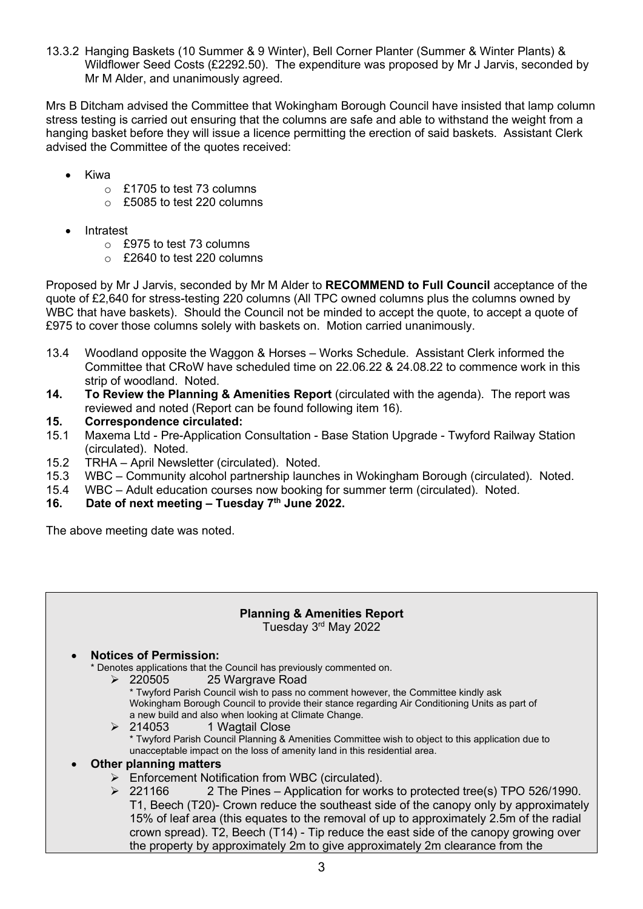13.3.2 Hanging Baskets (10 Summer & 9 Winter), Bell Corner Planter (Summer & Winter Plants) & Wildflower Seed Costs (£2292.50). The expenditure was proposed by Mr J Jarvis, seconded by Mr M Alder, and unanimously agreed.

Mrs B Ditcham advised the Committee that Wokingham Borough Council have insisted that lamp column stress testing is carried out ensuring that the columns are safe and able to withstand the weight from a hanging basket before they will issue a licence permitting the erection of said baskets. Assistant Clerk advised the Committee of the quotes received:

- Kiwa
	- $\circ$  £1705 to test 73 columns
	- o £5085 to test 220 columns
- **Intratest** 
	- o £975 to test 73 columns
	- o £2640 to test 220 columns

Proposed by Mr J Jarvis, seconded by Mr M Alder to **RECOMMEND to Full Council** acceptance of the quote of £2,640 for stress-testing 220 columns (All TPC owned columns plus the columns owned by WBC that have baskets). Should the Council not be minded to accept the quote, to accept a quote of £975 to cover those columns solely with baskets on. Motion carried unanimously.

- 13.4 Woodland opposite the Waggon & Horses Works Schedule. Assistant Clerk informed the Committee that CRoW have scheduled time on 22.06.22 & 24.08.22 to commence work in this strip of woodland. Noted.
- **14. To Review the Planning & Amenities Report** (circulated with the agenda). The report was reviewed and noted (Report can be found following item 16).
- **15. Correspondence circulated:**
- 15.1 Maxema Ltd Pre-Application Consultation Base Station Upgrade Twyford Railway Station (circulated). Noted.
- 15.2 TRHA April Newsletter (circulated). Noted.
- 15.3 WBC Community alcohol partnership launches in Wokingham Borough (circulated). Noted.
- WBC Adult education courses now booking for summer term (circulated). Noted.
- **16. Date of next meeting – Tuesday 7 th June 2022.**

The above meeting date was noted.

## **Planning & Amenities Report**

Tuesday 3<sup>rd</sup> May 2022

#### • **Notices of Permission:**

\* Denotes applications that the Council has previously commented on.

- ➢ 220505 25 Wargrave Road
	- \* Twyford Parish Council wish to pass no comment however, the Committee kindly ask Wokingham Borough Council to provide their stance regarding Air Conditioning Units as part of a new build and also when looking at Climate Change.
- ➢ 214053 1 Wagtail Close \* Twyford Parish Council Planning & Amenities Committee wish to object to this application due to unacceptable impact on the loss of amenity land in this residential area.

#### • **Other planning matters**

- ➢ Enforcement Notification from WBC (circulated).
- $\geq$  221166 2 The Pines Application for works to protected tree(s) TPO 526/1990. T1, Beech (T20)- Crown reduce the southeast side of the canopy only by approximately 15% of leaf area (this equates to the removal of up to approximately 2.5m of the radial crown spread). T2, Beech (T14) - Tip reduce the east side of the canopy growing over the property by approximately 2m to give approximately 2m clearance from the